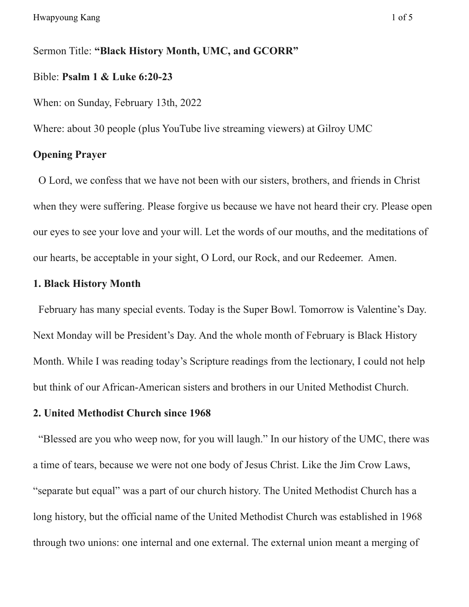Sermon Title: **"Black History Month, UMC, and GCORR"** Bible: **Psalm 1 & Luke 6:20-23**

When: on Sunday, February 13th, 2022

Where: about 30 people (plus YouTube live streaming viewers) at Gilroy UMC

## **Opening Prayer**

O Lord, we confess that we have not been with our sisters, brothers, and friends in Christ when they were suffering. Please forgive us because we have not heard their cry. Please open our eyes to see your love and your will. Let the words of our mouths, and the meditations of our hearts, be acceptable in your sight, O Lord, our Rock, and our Redeemer. Amen.

## **1. Black History Month**

February has many special events. Today is the Super Bowl. Tomorrow is Valentine's Day. Next Monday will be President's Day. And the whole month of February is Black History Month. While I was reading today's Scripture readings from the lectionary, I could not help but think of our African-American sisters and brothers in our United Methodist Church.

## **2. United Methodist Church since 1968**

"Blessed are you who weep now, for you will laugh." In our history of the UMC, there was a time of tears, because we were not one body of Jesus Christ. Like the Jim Crow Laws, "separate but equal" was a part of our church history. The United Methodist Church has a long history, but the official name of the United Methodist Church was established in 1968 through two unions: one internal and one external. The external union meant a merging of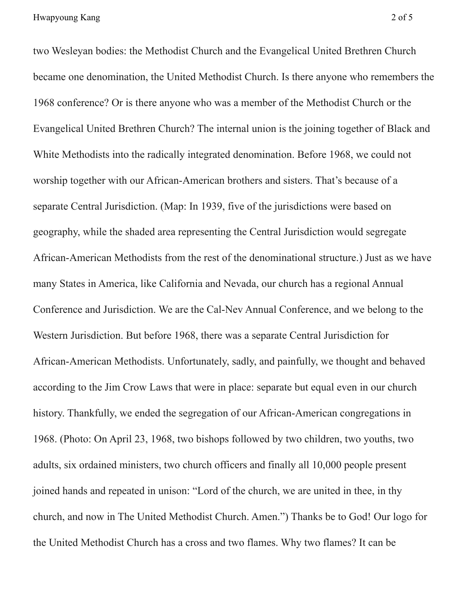two Wesleyan bodies: the Methodist Church and the Evangelical United Brethren Church became one denomination, the United Methodist Church. Is there anyone who remembers the 1968 conference? Or is there anyone who was a member of the Methodist Church or the Evangelical United Brethren Church? The internal union is the joining together of Black and White Methodists into the radically integrated denomination. Before 1968, we could not worship together with our African-American brothers and sisters. That's because of a separate Central Jurisdiction. (Map: In 1939, five of the jurisdictions were based on geography, while the shaded area representing the Central Jurisdiction would segregate African-American Methodists from the rest of the denominational structure.) Just as we have many States in America, like California and Nevada, our church has a regional Annual Conference and Jurisdiction. We are the Cal-Nev Annual Conference, and we belong to the Western Jurisdiction. But before 1968, there was a separate Central Jurisdiction for African-American Methodists. Unfortunately, sadly, and painfully, we thought and behaved according to the Jim Crow Laws that were in place: separate but equal even in our church history. Thankfully, we ended the segregation of our African-American congregations in 1968. (Photo: On April 23, 1968, two bishops followed by two children, two youths, two adults, six ordained ministers, two church officers and finally all 10,000 people present joined hands and repeated in unison: "Lord of the church, we are united in thee, in thy church, and now in The United Methodist Church. Amen.") Thanks be to God! Our logo for the United Methodist Church has a cross and two flames. Why two flames? It can be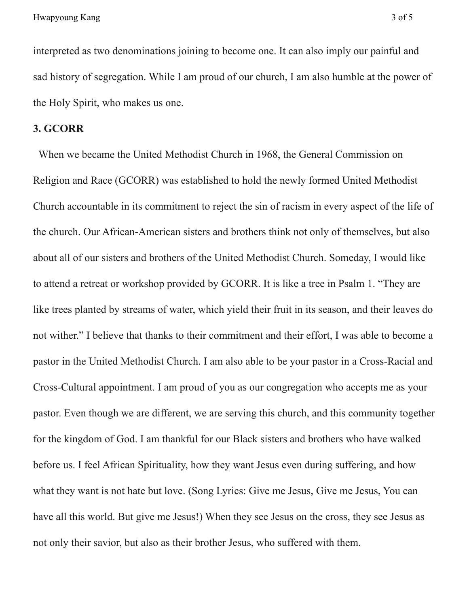interpreted as two denominations joining to become one. It can also imply our painful and sad history of segregation. While I am proud of our church, I am also humble at the power of the Holy Spirit, who makes us one.

### **3. GCORR**

When we became the United Methodist Church in 1968, the General Commission on Religion and Race (GCORR) was established to hold the newly formed United Methodist Church accountable in its commitment to reject the sin of racism in every aspect of the life of the church. Our African-American sisters and brothers think not only of themselves, but also about all of our sisters and brothers of the United Methodist Church. Someday, I would like to attend a retreat or workshop provided by GCORR. It is like a tree in Psalm 1. "They are like trees planted by streams of water, which yield their fruit in its season, and their leaves do not wither." I believe that thanks to their commitment and their effort, I was able to become a pastor in the United Methodist Church. I am also able to be your pastor in a Cross-Racial and Cross-Cultural appointment. I am proud of you as our congregation who accepts me as your pastor. Even though we are different, we are serving this church, and this community together for the kingdom of God. I am thankful for our Black sisters and brothers who have walked before us. I feel African Spirituality, how they want Jesus even during suffering, and how what they want is not hate but love. (Song Lyrics: Give me Jesus, Give me Jesus, You can have all this world. But give me Jesus!) When they see Jesus on the cross, they see Jesus as not only their savior, but also as their brother Jesus, who suffered with them.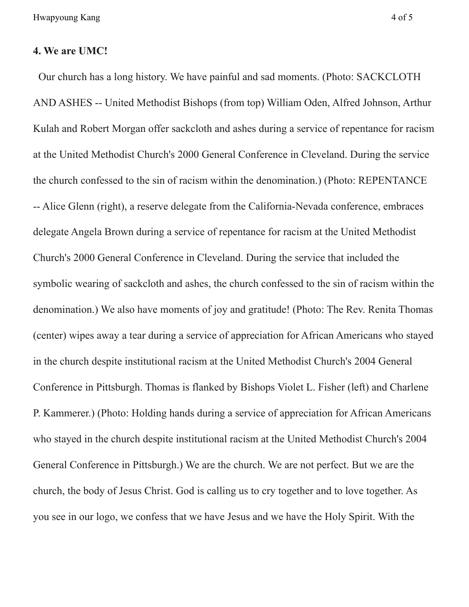Hwapyoung Kang 4 of 5

#### **4. We are UMC!**

Our church has a long history. We have painful and sad moments. (Photo: SACKCLOTH AND ASHES -- United Methodist Bishops (from top) William Oden, Alfred Johnson, Arthur Kulah and Robert Morgan offer sackcloth and ashes during a service of repentance for racism at the United Methodist Church's 2000 General Conference in Cleveland. During the service the church confessed to the sin of racism within the denomination.) (Photo: REPENTANCE -- Alice Glenn (right), a reserve delegate from the California-Nevada conference, embraces delegate Angela Brown during a service of repentance for racism at the United Methodist Church's 2000 General Conference in Cleveland. During the service that included the symbolic wearing of sackcloth and ashes, the church confessed to the sin of racism within the denomination.) We also have moments of joy and gratitude! (Photo: The Rev. Renita Thomas (center) wipes away a tear during a service of appreciation for African Americans who stayed in the church despite institutional racism at the United Methodist Church's 2004 General Conference in Pittsburgh. Thomas is flanked by Bishops Violet L. Fisher (left) and Charlene P. Kammerer.) (Photo: Holding hands during a service of appreciation for African Americans who stayed in the church despite institutional racism at the United Methodist Church's 2004 General Conference in Pittsburgh.) We are the church. We are not perfect. But we are the church, the body of Jesus Christ. God is calling us to cry together and to love together. As you see in our logo, we confess that we have Jesus and we have the Holy Spirit. With the